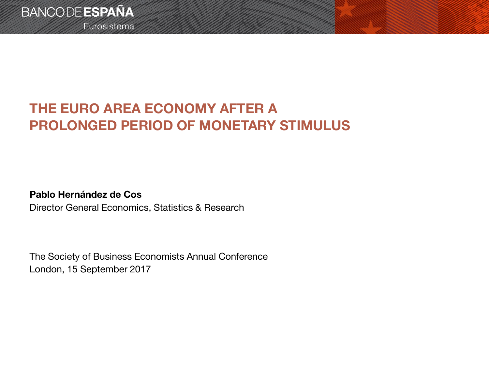

Eurosistema

# **THE EURO AREA ECONOMY AFTER A PROLONGED PERIOD OF MONETARY STIMULUS**

#### **Pablo Hernández de Cos**

Director General Economics, Statistics & Research

The Society of Business Economists Annual Conference London, 15 September 2017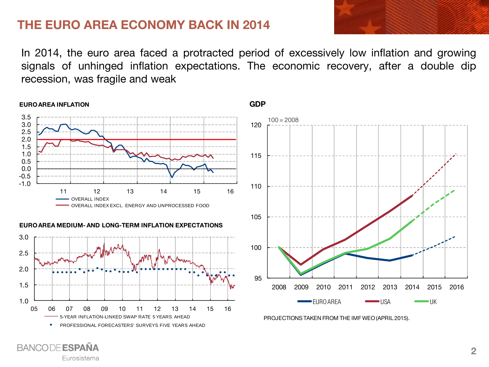### **THE EURO AREA ECONOMY BACK IN 2014**

In 2014, the euro area faced a protracted period of excessively low inflation and growing signals of unhinged inflation expectations. The economic recovery, after a double dip recession, was fragile and weak



**BANCODE ESPAÑA** Eurosistema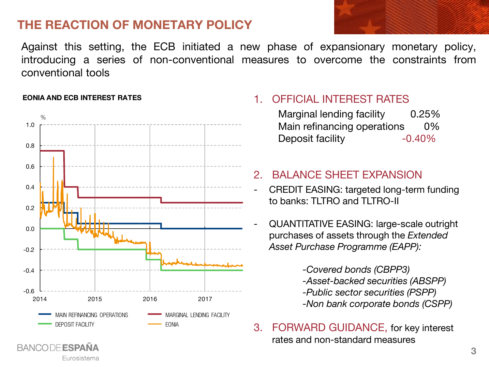## **THE REACTION OF MONETARY POLICY**



Against this setting, the ECB initiated a new phase of expansionary monetary policy, introducing a series of non-conventional measures to overcome the constraints from conventional tools



#### **EONIA AND ECB INTEREST RATES**

**BANCODE ESPAÑA** 

Eurosistema

#### 1. OFFICIAL INTEREST RATES

Marginal lending facility 0.25% Main refinancing operations 0% Deposit facility -0.40%

#### 2. BALANCE SHEET EXPANSION

- CREDIT EASING: targeted long-term funding to banks: TLTRO and TLTRO-II
- QUANTITATIVE EASING: large-scale outright purchases of assets through the *Extended Asset Purchase Programme (EAPP):*

*-Covered bonds (CBPP3) -Asset-backed securities (ABSPP) -Public sector securities (PSPP) -Non bank corporate bonds (CSPP)*

3. FORWARD GUIDANCE, for key interest rates and non-standard measures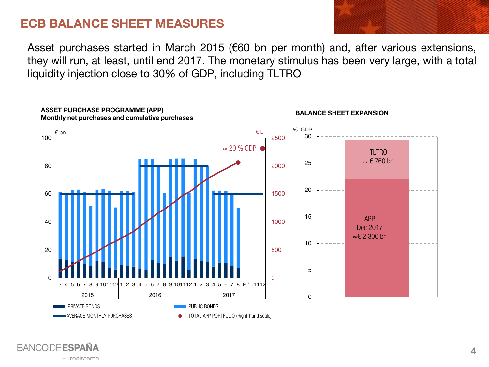### **ECB BALANCE SHEET MEASURES**

Asset purchases started in March 2015 (€60 bn per month) and, after various extensions, they will run, at least, until end 2017. The monetary stimulus has been very large, with a total liquidity injection close to 30% of GDP, including TLTRO



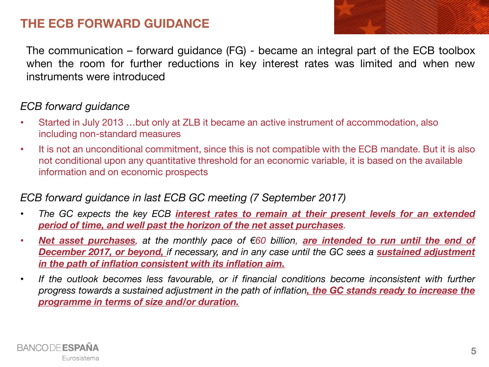## **THE ECB FORWARD GUIDANCE**

The communication – forward guidance (FG) - became an integral part of the ECB toolbox when the room for further reductions in key interest rates was limited and when new instruments were introduced

#### *ECB forward guidance*

- Started in July 2013 …but only at ZLB it became an active instrument of accommodation, also including non-standard measures
- It is not an unconditional commitment, since this is not compatible with the ECB mandate. But it is also not conditional upon any quantitative threshold for an economic variable, it is based on the available information and on economic prospects

#### *ECB forward guidance in last ECB GC meeting (7 September 2017)*

- *The GC expects the key ECB interest rates to remain at their present levels for an extended period of time, and well past the horizon of the net asset purchases.*
- Net asset purchases, at the monthly pace of  $60$  billion, are intended to run until the end of *December 2017, or beyond, if necessary, and in any case until the GC sees a sustained adjustment in the path of inflation consistent with its inflation aim.*
- *If the outlook becomes less favourable, or if financial conditions become inconsistent with further* progress towards a sustained adjustment in the path of inflation, the GC stands ready to increase the *programme in terms of size and/or duration.*

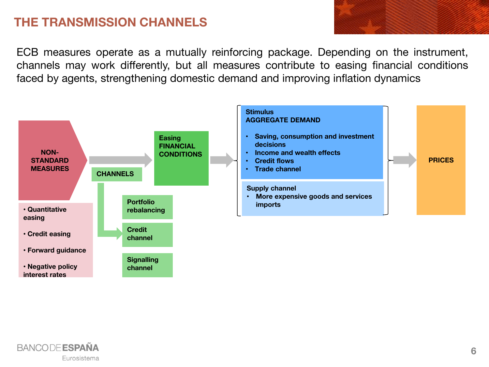## **THE TRANSMISSION CHANNELS**

ECB measures operate as a mutually reinforcing package. Depending on the instrument, channels may work differently, but all measures contribute to easing financial conditions faced by agents, strengthening domestic demand and improving inflation dynamics



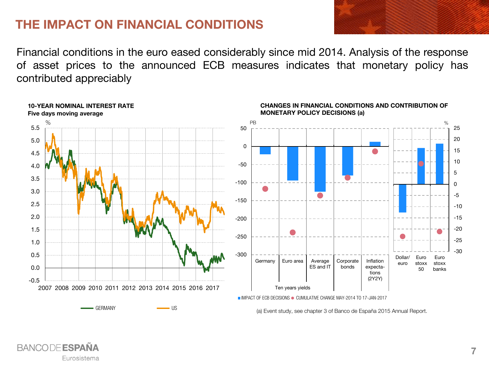### **THE IMPACT ON FINANCIAL CONDITIONS**

Financial conditions in the euro eased considerably since mid 2014. Analysis of the response of asset prices to the announced ECB measures indicates that monetary policy has contributed appreciably



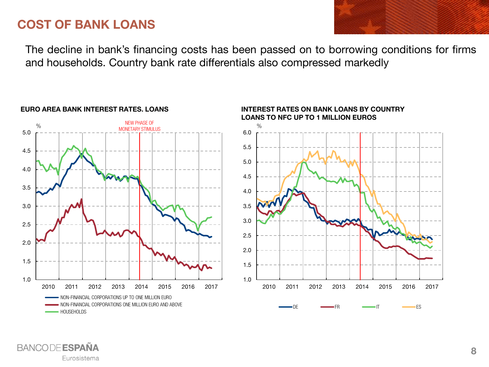### **COST OF BANK LOANS**

The decline in bank's financing costs has been passed on to borrowing conditions for firms and households. Country bank rate differentials also compressed markedly



#### **EURO AREA BANK INTEREST RATES. LOANS**



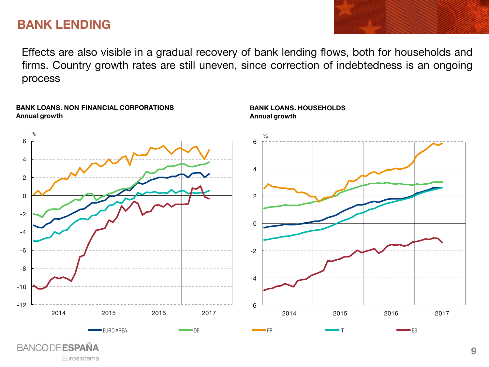### **BANK LENDING**

Effects are also visible in a gradual recovery of bank lending flows, both for households and firms. Country growth rates are still uneven, since correction of indebtedness is an ongoing process



Eurosistema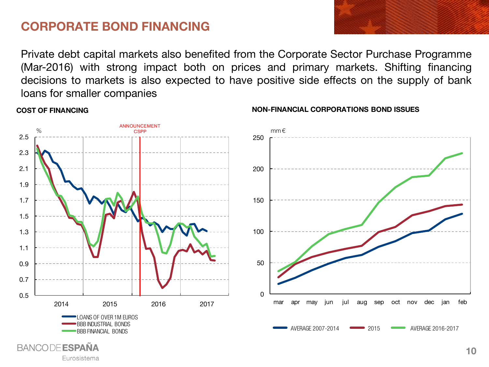### **CORPORATE BOND FINANCING**

Private debt capital markets also benefited from the Corporate Sector Purchase Programme (Mar-2016) with strong impact both on prices and primary markets. Shifting financing decisions to markets is also expected to have positive side effects on the supply of bank loans for smaller companies



#### **COST OF FINANCING**

Eurosistema

**NON-FINANCIAL CORPORATIONS BOND ISSUES**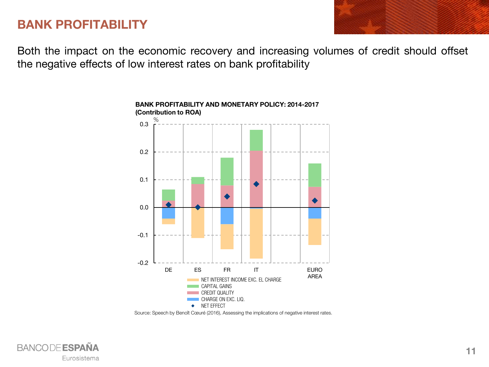### **BANK PROFITABILITY**

Both the impact on the economic recovery and increasing volumes of credit should offset the negative effects of low interest rates on bank profitability



#### **BANK PROFITABILITY AND MONETARY POLICY: 2014-2017 (Contribution to ROA)**



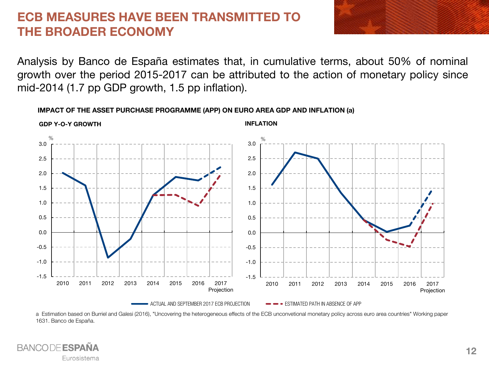### **ECB MEASURES HAVE BEEN TRANSMITTED TO THE BROADER ECONOMY**



Analysis by Banco de España estimates that, in cumulative terms, about 50% of nominal growth over the period 2015-2017 can be attributed to the action of monetary policy since mid-2014 (1.7 pp GDP growth, 1.5 pp inflation).

#### **IMPACT OF THE ASSET PURCHASE PROGRAMME (APP) ON EURO AREA GDP AND INFLATION (a)**



a Estimation based on Burriel and Galesi (2016), "Uncovering the heterogeneous effects of the ECB unconvetional monetary policy across euro area countries" Working paper 1631. Banco de España.

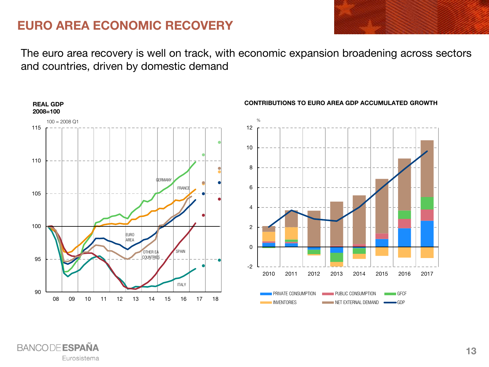### **EURO AREA ECONOMIC RECOVERY**

The euro area recovery is well on track, with economic expansion broadening across sectors and countries, driven by domestic demand



#### **CONTRIBUTIONS TO EURO AREA GDP ACCUMULATED GROWTH**





**REAL GDP**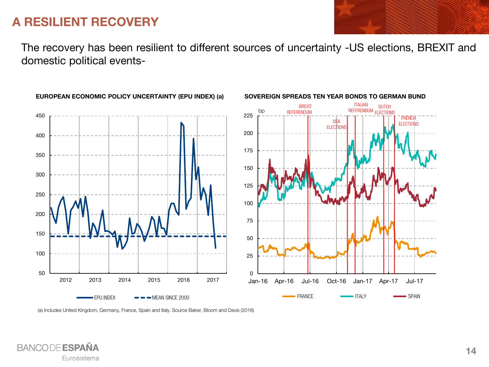### **A RESILIENT RECOVERY**

The recovery has been resilient to different sources of uncertainty -US elections, BREXIT and domestic political events-



**EUROPEAN ECONOMIC POLICY UNCERTAINTY (EPU INDEX) (a)**

(a) Includes United Kingdom, Germany, France, Spain and Italy. Source Baker, Bloom and Davis (2016)

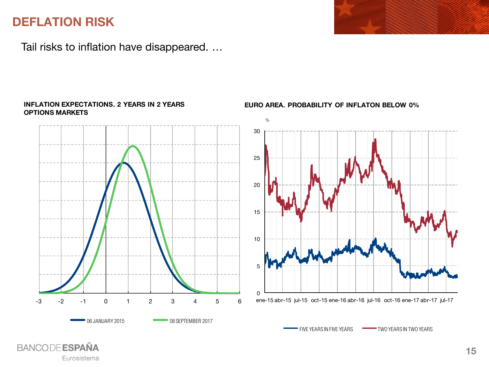## **DEFLATION RISK**

**BANCODE ESPAÑA** 

Eurosistema

Tail risks to inflation have disappeared. …

**INFLATION EXPECTATIONS. 2 YEARS IN 2 YEARS**



#### **EURO AREA. PROBABILITY OF INFLATON BELOW 0%**



THE YEARS IN FIVE YEARS TWO YEARS IN TWO YEARS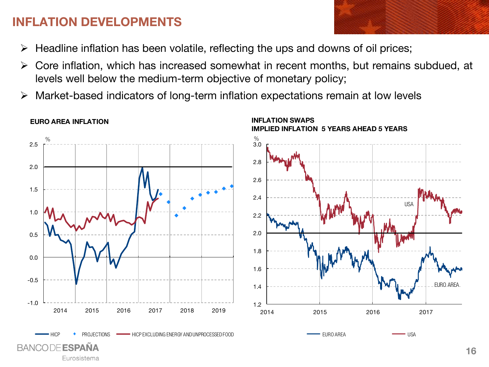## **INFLATION DEVELOPMENTS**

- $\triangleright$  Headline inflation has been volatile, reflecting the ups and downs of oil prices;
- $\triangleright$  Core inflation, which has increased somewhat in recent months, but remains subdued, at levels well below the medium-term objective of monetary policy;
- Market-based indicators of long-term inflation expectations remain at low levels



#### **EURO AREA INFLATION**

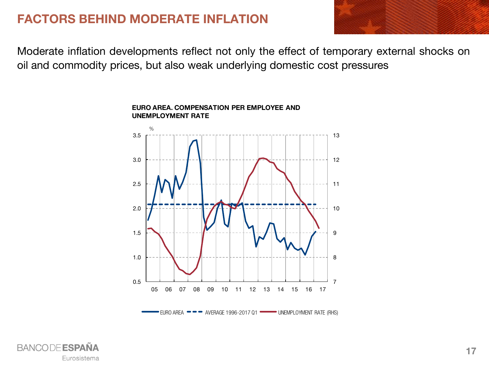## **FACTORS BEHIND MODERATE INFLATION**



Moderate inflation developments reflect not only the effect of temporary external shocks on oil and commodity prices, but also weak underlying domestic cost pressures



#### **EURO AREA. COMPENSATION PER EMPLOYEE AND UNEMPLOYMENT RATE**

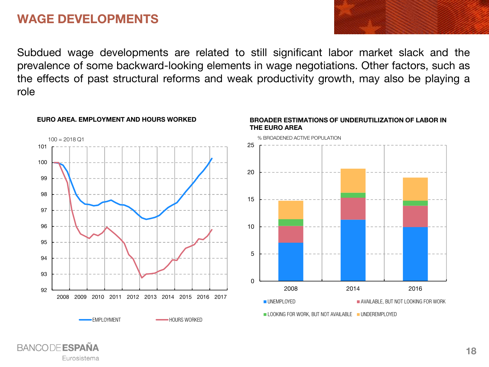### **WAGE DEVELOPMENTS**

Subdued wage developments are related to still significant labor market slack and the prevalence of some backward-looking elements in wage negotiations. Other factors, such as the effects of past structural reforms and weak productivity growth, may also be playing a role